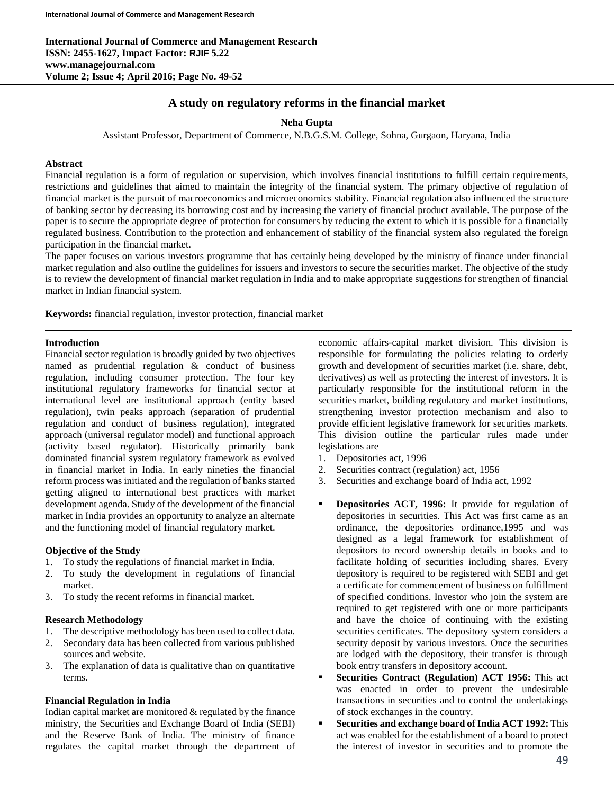# **A study on regulatory reforms in the financial market**

**Neha Gupta**

Assistant Professor, Department of Commerce, N.B.G.S.M. College, Sohna, Gurgaon, Haryana, India

#### **Abstract**

Financial regulation is a form of regulation or supervision, which involves financial institutions to fulfill certain requirements, restrictions and guidelines that aimed to maintain the integrity of the financial system. The primary objective of regulation of financial market is the pursuit of macroeconomics and microeconomics stability. Financial regulation also influenced the structure of banking sector by decreasing its borrowing cost and by increasing the variety of financial product available. The purpose of the paper is to secure the appropriate degree of protection for consumers by reducing the extent to which it is possible for a financially regulated business. Contribution to the protection and enhancement of stability of the financial system also regulated the foreign participation in the financial market.

The paper focuses on various investors programme that has certainly being developed by the ministry of finance under financial market regulation and also outline the guidelines for issuers and investors to secure the securities market. The objective of the study is to review the development of financial market regulation in India and to make appropriate suggestions for strengthen of financial market in Indian financial system.

**Keywords:** financial regulation, investor protection, financial market

#### **Introduction**

Financial sector regulation is broadly guided by two objectives named as prudential regulation & conduct of business regulation, including consumer protection. The four key institutional regulatory frameworks for financial sector at international level are institutional approach (entity based regulation), twin peaks approach (separation of prudential regulation and conduct of business regulation), integrated approach (universal regulator model) and functional approach (activity based regulator). Historically primarily bank dominated financial system regulatory framework as evolved in financial market in India. In early nineties the financial reform process was initiated and the regulation of banks started getting aligned to international best practices with market development agenda. Study of the development of the financial market in India provides an opportunity to analyze an alternate and the functioning model of financial regulatory market.

#### **Objective of the Study**

- 1. To study the regulations of financial market in India.
- 2. To study the development in regulations of financial market.
- 3. To study the recent reforms in financial market.

#### **Research Methodology**

- 1. The descriptive methodology has been used to collect data.
- 2. Secondary data has been collected from various published sources and website.
- 3. The explanation of data is qualitative than on quantitative terms.

#### **Financial Regulation in India**

Indian capital market are monitored  $&$  regulated by the finance ministry, the Securities and Exchange Board of India (SEBI) and the Reserve Bank of India. The ministry of finance regulates the capital market through the department of

economic affairs-capital market division. This division is responsible for formulating the policies relating to orderly growth and development of securities market (i.e. share, debt, derivatives) as well as protecting the interest of investors. It is particularly responsible for the institutional reform in the securities market, building regulatory and market institutions, strengthening investor protection mechanism and also to provide efficient legislative framework for securities markets. This division outline the particular rules made under legislations are

- 1. Depositories act, 1996
- 2. Securities contract (regulation) act, 1956
- 3. Securities and exchange board of India act, 1992
- **Depositories ACT, 1996:** It provide for regulation of depositories in securities. This Act was first came as an ordinance, the depositories ordinance,1995 and was designed as a legal framework for establishment of depositors to record ownership details in books and to facilitate holding of securities including shares. Every depository is required to be registered with SEBI and get a certificate for commencement of business on fulfillment of specified conditions. Investor who join the system are required to get registered with one or more participants and have the choice of continuing with the existing securities certificates. The depository system considers a security deposit by various investors. Once the securities are lodged with the depository, their transfer is through book entry transfers in depository account.
- **Securities Contract (Regulation) ACT 1956:** This act was enacted in order to prevent the undesirable transactions in securities and to control the undertakings of stock exchanges in the country.
- **Securities and exchange board of India ACT 1992:** This act was enabled for the establishment of a board to protect the interest of investor in securities and to promote the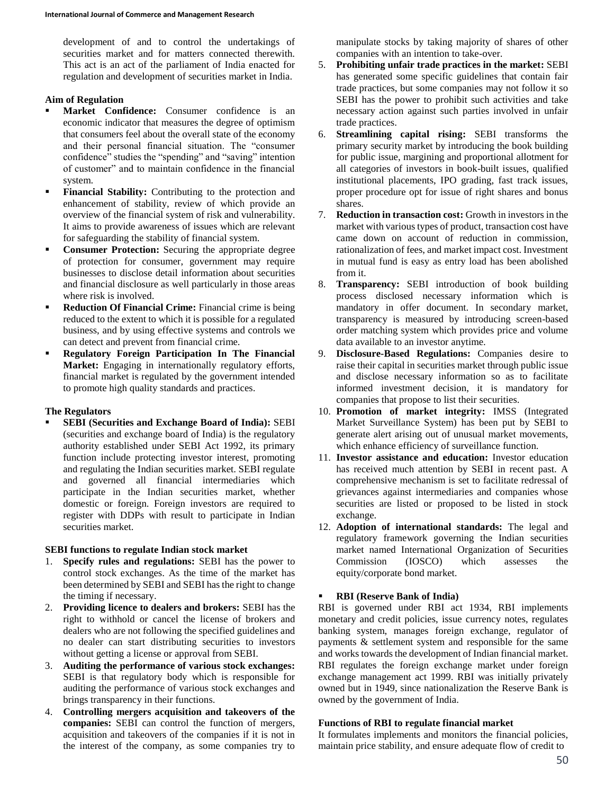development of and to control the undertakings of securities market and for matters connected therewith. This act is an act of the parliament of India enacted for regulation and development of securities market in India.

### **Aim of Regulation**

- **Market Confidence:** Consumer confidence is an economic indicator that measures the degree of optimism that consumers feel about the overall state of the economy and their personal financial situation. The "consumer confidence" studies the "spending" and "saving" intention of customer" and to maintain confidence in the financial system.
- **Financial Stability:** Contributing to the protection and enhancement of stability, review of which provide an overview of the financial system of risk and vulnerability. It aims to provide awareness of issues which are relevant for safeguarding the stability of financial system.
- **Consumer Protection:** Securing the appropriate degree of protection for consumer, government may require businesses to disclose detail information about securities and financial disclosure as well particularly in those areas where risk is involved.
- **Reduction Of Financial Crime:** Financial crime is being reduced to the extent to which it is possible for a regulated business, and by using effective systems and controls we can detect and prevent from financial crime.
- **Regulatory Foreign Participation In The Financial Market:** Engaging in internationally regulatory efforts, financial market is regulated by the government intended to promote high quality standards and practices.

#### **The Regulators**

 **SEBI (Securities and Exchange Board of India):** SEBI (securities and exchange board of India) is the regulatory authority established under SEBI Act 1992, its primary function include protecting investor interest, promoting and regulating the Indian securities market. SEBI regulate and governed all financial intermediaries which participate in the Indian securities market, whether domestic or foreign. Foreign investors are required to register with DDPs with result to participate in Indian securities market.

#### **SEBI functions to regulate Indian stock market**

- 1. **Specify rules and regulations:** SEBI has the power to control stock exchanges. As the time of the market has been determined by SEBI and SEBI has the right to change the timing if necessary.
- 2. **Providing licence to dealers and brokers:** SEBI has the right to withhold or cancel the license of brokers and dealers who are not following the specified guidelines and no dealer can start distributing securities to investors without getting a license or approval from SEBI.
- 3. **Auditing the performance of various stock exchanges:**  SEBI is that regulatory body which is responsible for auditing the performance of various stock exchanges and brings transparency in their functions.
- 4. **Controlling mergers acquisition and takeovers of the companies:** SEBI can control the function of mergers, acquisition and takeovers of the companies if it is not in the interest of the company, as some companies try to

manipulate stocks by taking majority of shares of other companies with an intention to take-over.

- 5. **Prohibiting unfair trade practices in the market:** SEBI has generated some specific guidelines that contain fair trade practices, but some companies may not follow it so SEBI has the power to prohibit such activities and take necessary action against such parties involved in unfair trade practices.
- 6. **Streamlining capital rising:** SEBI transforms the primary security market by introducing the book building for public issue, margining and proportional allotment for all categories of investors in book-built issues, qualified institutional placements, IPO grading, fast track issues, proper procedure opt for issue of right shares and bonus shares.
- 7. **Reduction in transaction cost:** Growth in investors in the market with various types of product, transaction cost have came down on account of reduction in commission, rationalization of fees, and market impact cost. Investment in mutual fund is easy as entry load has been abolished from it.
- 8. **Transparency:** SEBI introduction of book building process disclosed necessary information which is mandatory in offer document. In secondary market, transparency is measured by introducing screen-based order matching system which provides price and volume data available to an investor anytime.
- 9. **Disclosure-Based Regulations:** Companies desire to raise their capital in securities market through public issue and disclose necessary information so as to facilitate informed investment decision, it is mandatory for companies that propose to list their securities.
- 10. **Promotion of market integrity:** IMSS (Integrated Market Surveillance System) has been put by SEBI to generate alert arising out of unusual market movements, which enhance efficiency of surveillance function.
- 11. **Investor assistance and education:** Investor education has received much attention by SEBI in recent past. A comprehensive mechanism is set to facilitate redressal of grievances against intermediaries and companies whose securities are listed or proposed to be listed in stock exchange.
- 12. **Adoption of international standards:** The legal and regulatory framework governing the Indian securities market named International Organization of Securities Commission (IOSCO) which assesses the equity/corporate bond market.

## **RBI (Reserve Bank of India)**

RBI is governed under RBI act 1934, RBI implements monetary and credit policies, issue currency notes, regulates banking system, manages foreign exchange, regulator of payments & settlement system and responsible for the same and works towards the development of Indian financial market. RBI regulates the foreign exchange market under foreign exchange management act 1999. RBI was initially privately owned but in 1949, since nationalization the Reserve Bank is owned by the government of India.

#### **Functions of RBI to regulate financial market**

It formulates implements and monitors the financial policies, maintain price stability, and ensure adequate flow of credit to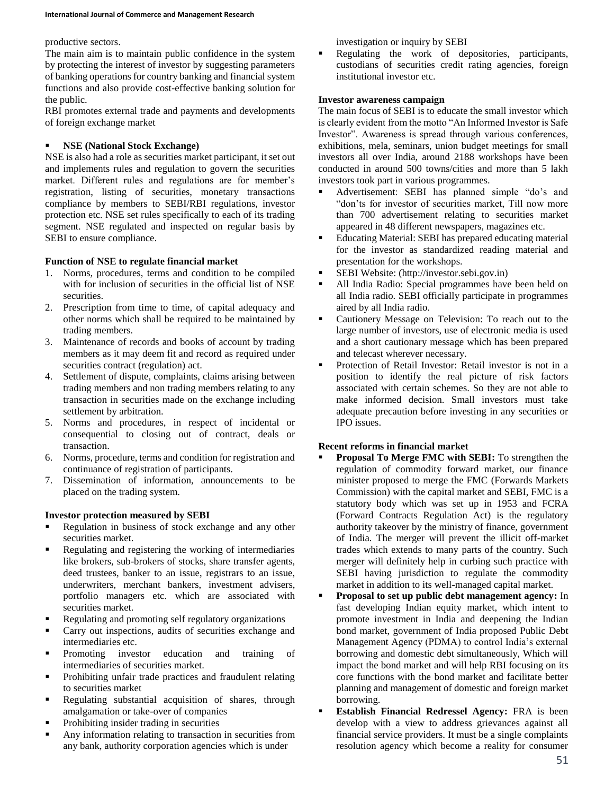#### productive sectors.

The main aim is to maintain public confidence in the system by protecting the interest of investor by suggesting parameters of banking operations for country banking and financial system functions and also provide cost-effective banking solution for the public.

RBI promotes external trade and payments and developments of foreign exchange market

### **NSE (National Stock Exchange)**

NSE is also had a role as securities market participant, it set out and implements rules and regulation to govern the securities market. Different rules and regulations are for member's registration, listing of securities, monetary transactions compliance by members to SEBI/RBI regulations, investor protection etc. NSE set rules specifically to each of its trading segment. NSE regulated and inspected on regular basis by SEBI to ensure compliance.

### **Function of NSE to regulate financial market**

- 1. Norms, procedures, terms and condition to be compiled with for inclusion of securities in the official list of NSE securities.
- 2. Prescription from time to time, of capital adequacy and other norms which shall be required to be maintained by trading members.
- 3. Maintenance of records and books of account by trading members as it may deem fit and record as required under securities contract (regulation) act.
- 4. Settlement of dispute, complaints, claims arising between trading members and non trading members relating to any transaction in securities made on the exchange including settlement by arbitration.
- 5. Norms and procedures, in respect of incidental or consequential to closing out of contract, deals or transaction.
- 6. Norms, procedure, terms and condition for registration and continuance of registration of participants.
- 7. Dissemination of information, announcements to be placed on the trading system.

## **Investor protection measured by SEBI**

- Regulation in business of stock exchange and any other securities market.
- Regulating and registering the working of intermediaries like brokers, sub-brokers of stocks, share transfer agents, deed trustees, banker to an issue, registrars to an issue, underwriters, merchant bankers, investment advisers, portfolio managers etc. which are associated with securities market.
- Regulating and promoting self regulatory organizations
- Carry out inspections, audits of securities exchange and intermediaries etc.
- Promoting investor education and training of intermediaries of securities market.
- **•** Prohibiting unfair trade practices and fraudulent relating to securities market
- Regulating substantial acquisition of shares, through amalgamation or take-over of companies
- Prohibiting insider trading in securities
- Any information relating to transaction in securities from any bank, authority corporation agencies which is under

investigation or inquiry by SEBI

 Regulating the work of depositories, participants, custodians of securities credit rating agencies, foreign institutional investor etc.

### **Investor awareness campaign**

The main focus of SEBI is to educate the small investor which is clearly evident from the motto "An Informed Investor is Safe Investor". Awareness is spread through various conferences, exhibitions, mela, seminars, union budget meetings for small investors all over India, around 2188 workshops have been conducted in around 500 towns/cities and more than 5 lakh investors took part in various programmes.

- Advertisement: SEBI has planned simple "do's and "don'ts for investor of securities market, Till now more than 700 advertisement relating to securities market appeared in 48 different newspapers, magazines etc.
- Educating Material: SEBI has prepared educating material for the investor as standardized reading material and presentation for the workshops.
- SEBI Website: (http://investor.sebi.gov.in)
- All India Radio: Special programmes have been held on all India radio. SEBI officially participate in programmes aired by all India radio.
- Cautionery Message on Television: To reach out to the large number of investors, use of electronic media is used and a short cautionary message which has been prepared and telecast wherever necessary.
- Protection of Retail Investor: Retail investor is not in a position to identify the real picture of risk factors associated with certain schemes. So they are not able to make informed decision. Small investors must take adequate precaution before investing in any securities or IPO issues.

## **Recent reforms in financial market**

- **Proposal To Merge FMC with SEBI:** To strengthen the regulation of commodity forward market, our finance minister proposed to merge the FMC (Forwards Markets Commission) with the capital market and SEBI, FMC is a statutory body which was set up in 1953 and FCRA (Forward Contracts Regulation Act) is the regulatory authority takeover by the ministry of finance, government of India. The merger will prevent the illicit off-market trades which extends to many parts of the country. Such merger will definitely help in curbing such practice with SEBI having jurisdiction to regulate the commodity market in addition to its well-managed capital market.
- **Proposal to set up public debt management agency:** In fast developing Indian equity market, which intent to promote investment in India and deepening the Indian bond market, government of India proposed Public Debt Management Agency (PDMA) to control India's external borrowing and domestic debt simultaneously, Which will impact the bond market and will help RBI focusing on its core functions with the bond market and facilitate better planning and management of domestic and foreign market borrowing.
- **Establish Financial Redressel Agency:** FRA is been develop with a view to address grievances against all financial service providers. It must be a single complaints resolution agency which become a reality for consumer